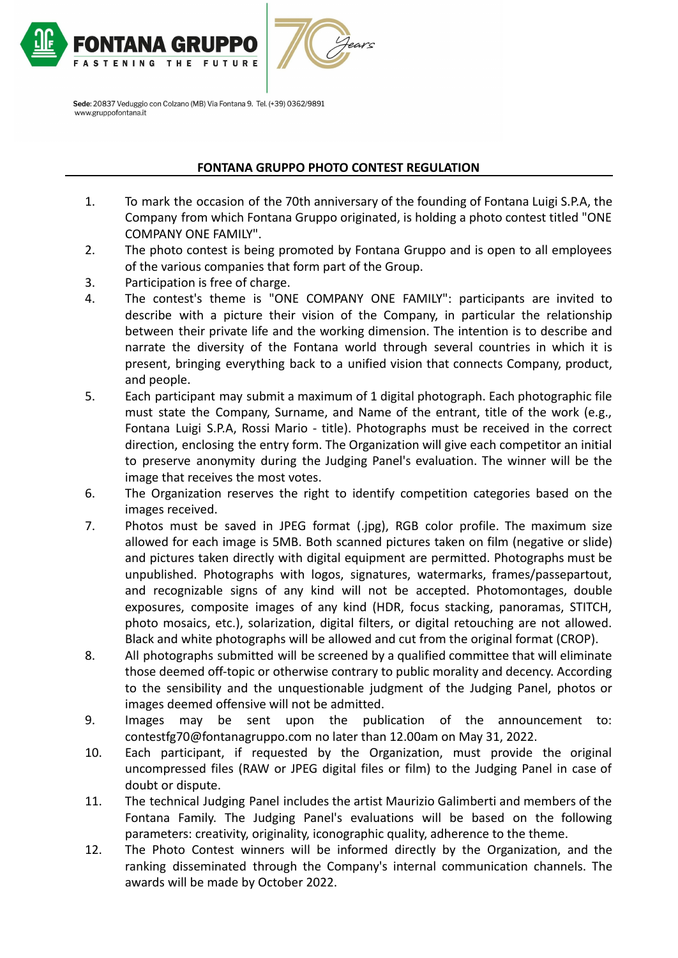

# **FONTANA GRUPPO PHOTO CONTEST REGULATION**

- 1. To mark the occasion of the 70th anniversary of the founding of Fontana Luigi S.P.A, the Company from which Fontana Gruppo originated, is holding a photo contest titled "ONE COMPANY ONE FAMILY".
- 2. The photo contest is being promoted by Fontana Gruppo and is open to all employees of the various companies that form part of the Group.
- 3. Participation is free of charge.
- 4. The contest's theme is "ONE COMPANY ONE FAMILY": participants are invited to describe with a picture their vision of the Company, in particular the relationship between their private life and the working dimension. The intention is to describe and narrate the diversity of the Fontana world through several countries in which it is present, bringing everything back to a unified vision that connects Company, product, and people.
- 5. Each participant may submit a maximum of 1 digital photograph. Each photographic file must state the Company, Surname, and Name of the entrant, title of the work (e.g., Fontana Luigi S.P.A, Rossi Mario - title). Photographs must be received in the correct direction, enclosing the entry form. The Organization will give each competitor an initial to preserve anonymity during the Judging Panel's evaluation. The winner will be the image that receives the most votes.
- 6. The Organization reserves the right to identify competition categories based on the images received.
- 7. Photos must be saved in JPEG format (.jpg), RGB color profile. The maximum size allowed for each image is 5MB. Both scanned pictures taken on film (negative or slide) and pictures taken directly with digital equipment are permitted. Photographs must be unpublished. Photographs with logos, signatures, watermarks, frames/passepartout, and recognizable signs of any kind will not be accepted. Photomontages, double exposures, composite images of any kind (HDR, focus stacking, panoramas, STITCH, photo mosaics, etc.), solarization, digital filters, or digital retouching are not allowed. Black and white photographs will be allowed and cut from the original format (CROP).
- 8. All photographs submitted will be screened by a qualified committee that will eliminate those deemed off-topic or otherwise contrary to public morality and decency. According to the sensibility and the unquestionable judgment of the Judging Panel, photos or images deemed offensive will not be admitted.
- 9. Images may be sent upon the publication of the announcement to: contestfg70@fontanagruppo.com no later than 12.00am on May 31, 2022.
- 10. Each participant, if requested by the Organization, must provide the original uncompressed files (RAW or JPEG digital files or film) to the Judging Panel in case of doubt or dispute.
- 11. The technical Judging Panel includes the artist Maurizio Galimberti and members of the Fontana Family. The Judging Panel's evaluations will be based on the following parameters: creativity, originality, iconographic quality, adherence to the theme.
- 12. The Photo Contest winners will be informed directly by the Organization, and the ranking disseminated through the Company's internal communication channels. The awards will be made by October 2022.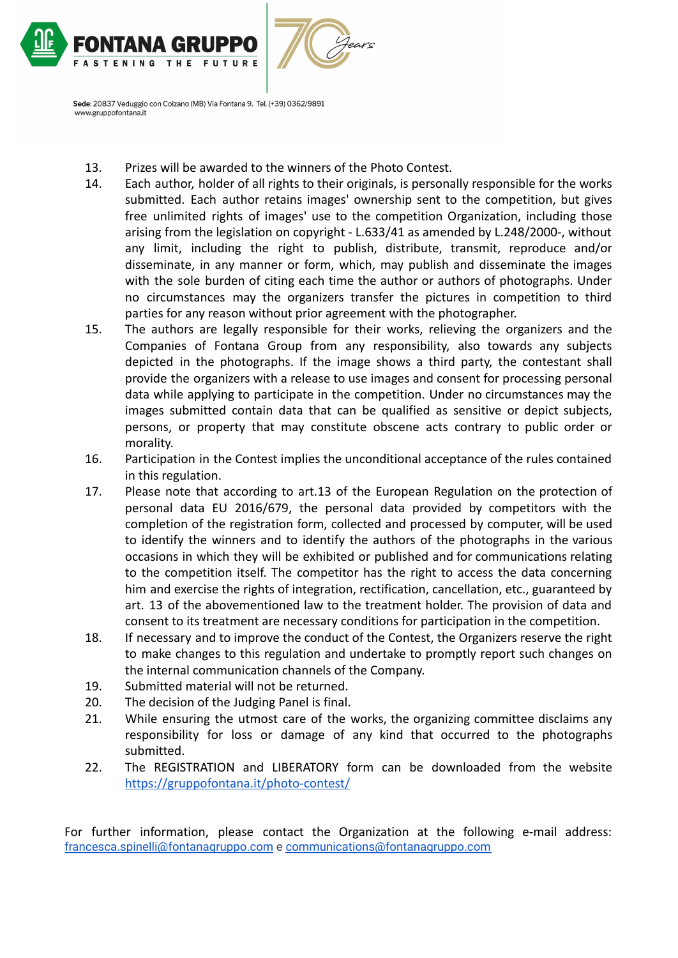

- 13. Prizes will be awarded to the winners of the Photo Contest.
- 14. Each author, holder of all rights to their originals, is personally responsible for the works submitted. Each author retains images' ownership sent to the competition, but gives free unlimited rights of images' use to the competition Organization, including those arising from the legislation on copyright - L.633/41 as amended by L.248/2000-, without any limit, including the right to publish, distribute, transmit, reproduce and/or disseminate, in any manner or form, which, may publish and disseminate the images with the sole burden of citing each time the author or authors of photographs. Under no circumstances may the organizers transfer the pictures in competition to third parties for any reason without prior agreement with the photographer.
- 15. The authors are legally responsible for their works, relieving the organizers and the Companies of Fontana Group from any responsibility, also towards any subjects depicted in the photographs. If the image shows a third party, the contestant shall provide the organizers with a release to use images and consent for processing personal data while applying to participate in the competition. Under no circumstances may the images submitted contain data that can be qualified as sensitive or depict subjects, persons, or property that may constitute obscene acts contrary to public order or morality.
- 16. Participation in the Contest implies the unconditional acceptance of the rules contained in this regulation.
- 17. Please note that according to art.13 of the European Regulation on the protection of personal data EU 2016/679, the personal data provided by competitors with the completion of the registration form, collected and processed by computer, will be used to identify the winners and to identify the authors of the photographs in the various occasions in which they will be exhibited or published and for communications relating to the competition itself. The competitor has the right to access the data concerning him and exercise the rights of integration, rectification, cancellation, etc., guaranteed by art. 13 of the abovementioned law to the treatment holder. The provision of data and consent to its treatment are necessary conditions for participation in the competition.
- 18. If necessary and to improve the conduct of the Contest, the Organizers reserve the right to make changes to this regulation and undertake to promptly report such changes on the internal communication channels of the Company.
- 19. Submitted material will not be returned.
- 20. The decision of the Judging Panel is final.
- 21. While ensuring the utmost care of the works, the organizing committee disclaims any responsibility for loss or damage of any kind that occurred to the photographs submitted.
- 22. The REGISTRATION and LIBERATORY form can be downloaded from the website <https://gruppofontana.it/photo-contest/>

For further information, please contact the Organization at the following e-mail address: [francesca.spinelli@fontanagruppo.com](mailto:francesca.spinelli@fontanagruppo.com) e [communications@fontanagruppo.com](mailto:communications@fontanagruppo.com)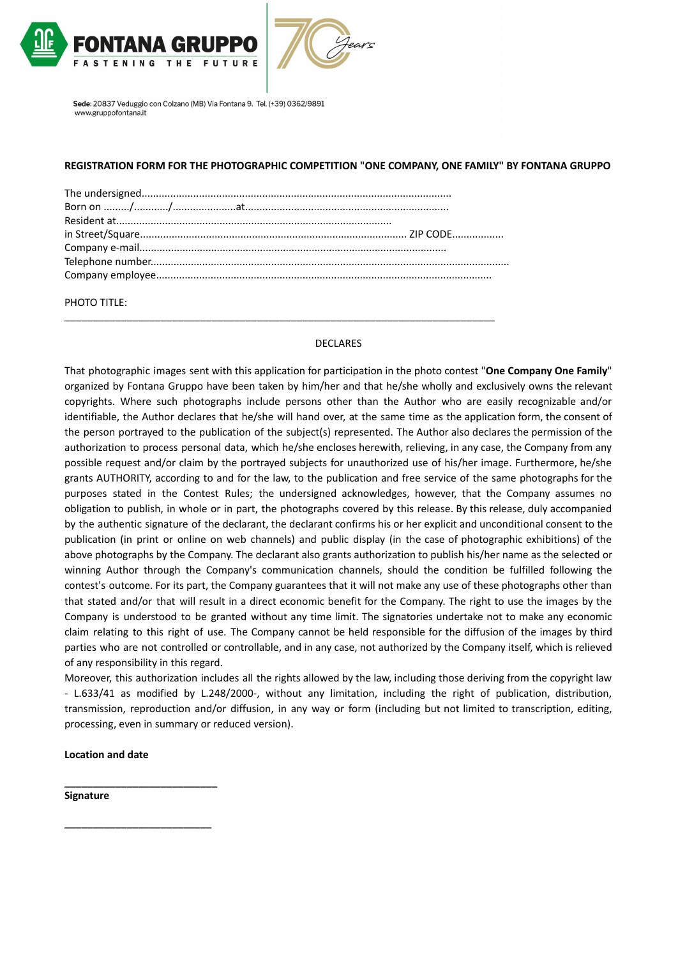



# **REGISTRATION FORM FOR THE PHOTOGRAPHIC COMPETITION "ONE COMPANY, ONE FAMILY" BY FONTANA GRUPPO**

\_\_\_\_\_\_\_\_\_\_\_\_\_\_\_\_\_\_\_\_\_\_\_\_\_\_\_\_\_\_\_\_\_\_\_\_\_\_\_\_\_\_\_\_\_\_\_\_\_\_\_\_\_\_\_\_\_\_\_\_\_\_\_\_\_\_\_\_\_\_\_\_\_\_\_\_

# PHOTO TITLE:

#### DECLARES

That photographic images sent with this application for participation in the photo contest "**One Company One Family**" organized by Fontana Gruppo have been taken by him/her and that he/she wholly and exclusively owns the relevant copyrights. Where such photographs include persons other than the Author who are easily recognizable and/or identifiable, the Author declares that he/she will hand over, at the same time as the application form, the consent of the person portrayed to the publication of the subject(s) represented. The Author also declares the permission of the authorization to process personal data, which he/she encloses herewith, relieving, in any case, the Company from any possible request and/or claim by the portrayed subjects for unauthorized use of his/her image. Furthermore, he/she grants AUTHORITY, according to and for the law, to the publication and free service of the same photographs for the purposes stated in the Contest Rules; the undersigned acknowledges, however, that the Company assumes no obligation to publish, in whole or in part, the photographs covered by this release. By this release, duly accompanied by the authentic signature of the declarant, the declarant confirms his or her explicit and unconditional consent to the publication (in print or online on web channels) and public display (in the case of photographic exhibitions) of the above photographs by the Company. The declarant also grants authorization to publish his/her name as the selected or winning Author through the Company's communication channels, should the condition be fulfilled following the contest's outcome. For its part, the Company guarantees that it will not make any use of these photographs other than that stated and/or that will result in a direct economic benefit for the Company. The right to use the images by the Company is understood to be granted without any time limit. The signatories undertake not to make any economic claim relating to this right of use. The Company cannot be held responsible for the diffusion of the images by third parties who are not controlled or controllable, and in any case, not authorized by the Company itself, which is relieved of any responsibility in this regard.

Moreover, this authorization includes all the rights allowed by the law, including those deriving from the copyright law - L.633/41 as modified by L.248/2000-, without any limitation, including the right of publication, distribution, transmission, reproduction and/or diffusion, in any way or form (including but not limited to transcription, editing, processing, even in summary or reduced version).

#### **Location and date**

**\_\_\_\_\_\_\_\_\_\_\_\_\_\_\_\_\_\_\_\_\_\_\_\_\_\_\_**

**\_\_\_\_\_\_\_\_\_\_\_\_\_\_\_\_\_\_\_\_\_\_\_\_\_\_**

**Signature**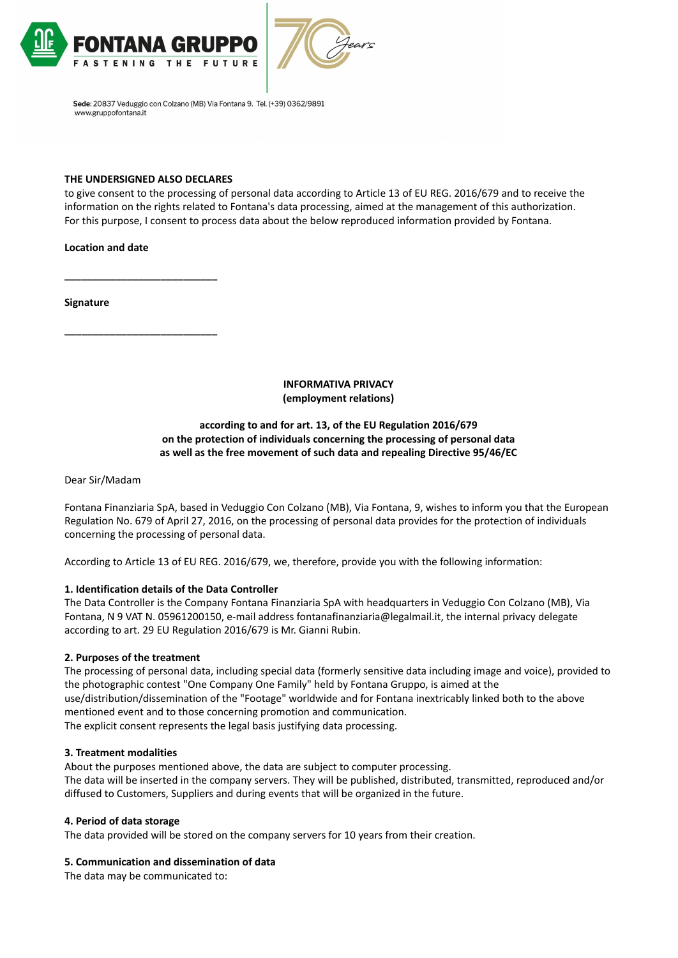



## **THE UNDERSIGNED ALSO DECLARES**

**\_\_\_\_\_\_\_\_\_\_\_\_\_\_\_\_\_\_\_\_\_\_\_\_\_\_\_**

**\_\_\_\_\_\_\_\_\_\_\_\_\_\_\_\_\_\_\_\_\_\_\_\_\_\_\_**

to give consent to the processing of personal data according to Article 13 of EU REG. 2016/679 and to receive the information on the rights related to Fontana's data processing, aimed at the management of this authorization. For this purpose, I consent to process data about the below reproduced information provided by Fontana.

# **Location and date**

**Signature**

**INFORMATIVA PRIVACY (employment relations)**

#### **according to and for art. 13, of the EU Regulation 2016/679 on the protection of individuals concerning the processing of personal data as well as the free movement of such data and repealing Directive 95/46/EC**

Dear Sir/Madam

Fontana Finanziaria SpA, based in Veduggio Con Colzano (MB), Via Fontana, 9, wishes to inform you that the European Regulation No. 679 of April 27, 2016, on the processing of personal data provides for the protection of individuals concerning the processing of personal data.

According to Article 13 of EU REG. 2016/679, we, therefore, provide you with the following information:

# **1. Identification details of the Data Controller**

The Data Controller is the Company Fontana Finanziaria SpA with headquarters in Veduggio Con Colzano (MB), Via Fontana, N 9 VAT N. 05961200150, e-mail address fontanafinanziaria@legalmail.it, the internal privacy delegate according to art. 29 EU Regulation 2016/679 is Mr. Gianni Rubin.

#### **2. Purposes of the treatment**

The processing of personal data, including special data (formerly sensitive data including image and voice), provided to the photographic contest "One Company One Family" held by Fontana Gruppo, is aimed at the use/distribution/dissemination of the "Footage" worldwide and for Fontana inextricably linked both to the above mentioned event and to those concerning promotion and communication. The explicit consent represents the legal basis justifying data processing.

#### **3. Treatment modalities**

About the purposes mentioned above, the data are subject to computer processing. The data will be inserted in the company servers. They will be published, distributed, transmitted, reproduced and/or diffused to Customers, Suppliers and during events that will be organized in the future.

#### **4. Period of data storage**

The data provided will be stored on the company servers for 10 years from their creation.

#### **5. Communication and dissemination of data**

The data may be communicated to: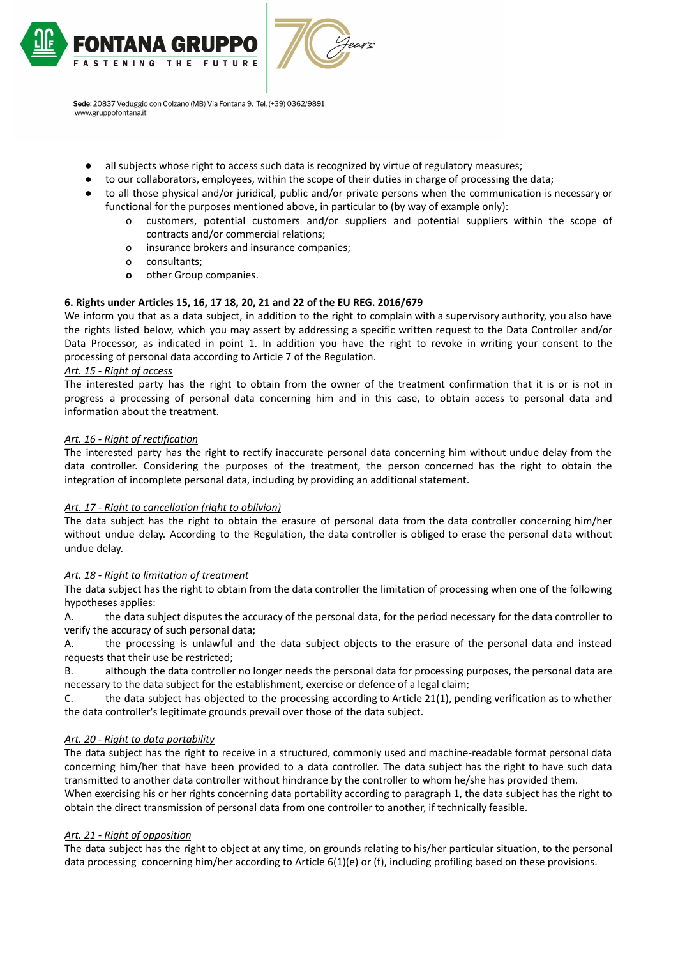

Sede: 20837 Veduggio con Colzano (MB) Via Fontana 9. Tel. (+39) 0362/9891

- all subjects whose right to access such data is recognized by virtue of regulatory measures;
- to our collaborators, employees, within the scope of their duties in charge of processing the data;
- to all those physical and/or juridical, public and/or private persons when the communication is necessary or functional for the purposes mentioned above, in particular to (by way of example only):
	- o customers, potential customers and/or suppliers and potential suppliers within the scope of contracts and/or commercial relations;
	- o insurance brokers and insurance companies;
	- o consultants;
	- **o** other Group companies.

# **6. Rights under Articles 15, 16, 17 18, 20, 21 and 22 of the EU REG. 2016/679**

We inform you that as a data subject, in addition to the right to complain with a supervisory authority, you also have the rights listed below, which you may assert by addressing a specific written request to the Data Controller and/or Data Processor, as indicated in point 1. In addition you have the right to revoke in writing your consent to the processing of personal data according to Article 7 of the Regulation.

# *Art. 15 - Right of access*

www.gruppofontana.it

The interested party has the right to obtain from the owner of the treatment confirmation that it is or is not in progress a processing of personal data concerning him and in this case, to obtain access to personal data and information about the treatment.

# *Art. 16 - Right of rectification*

The interested party has the right to rectify inaccurate personal data concerning him without undue delay from the data controller. Considering the purposes of the treatment, the person concerned has the right to obtain the integration of incomplete personal data, including by providing an additional statement.

# *Art. 17 - Right to cancellation (right to oblivion)*

The data subject has the right to obtain the erasure of personal data from the data controller concerning him/her without undue delay. According to the Regulation, the data controller is obliged to erase the personal data without undue delay.

# *Art. 18 - Right to limitation of treatment*

The data subject has the right to obtain from the data controller the limitation of processing when one of the following hypotheses applies:

A. the data subject disputes the accuracy of the personal data, for the period necessary for the data controller to verify the accuracy of such personal data;

A. the processing is unlawful and the data subject objects to the erasure of the personal data and instead requests that their use be restricted;

B. although the data controller no longer needs the personal data for processing purposes, the personal data are necessary to the data subject for the establishment, exercise or defence of a legal claim;

C. the data subject has objected to the processing according to Article 21(1), pending verification as to whether the data controller's legitimate grounds prevail over those of the data subject.

# *Art. 20 - Right to data portability*

The data subject has the right to receive in a structured, commonly used and machine-readable format personal data concerning him/her that have been provided to a data controller. The data subject has the right to have such data transmitted to another data controller without hindrance by the controller to whom he/she has provided them. When exercising his or her rights concerning data portability according to paragraph 1, the data subject has the right to obtain the direct transmission of personal data from one controller to another, if technically feasible.

# *Art. 21 - Right of opposition*

The data subject has the right to object at any time, on grounds relating to his/her particular situation, to the personal data processing concerning him/her according to Article 6(1)(e) or (f), including profiling based on these provisions.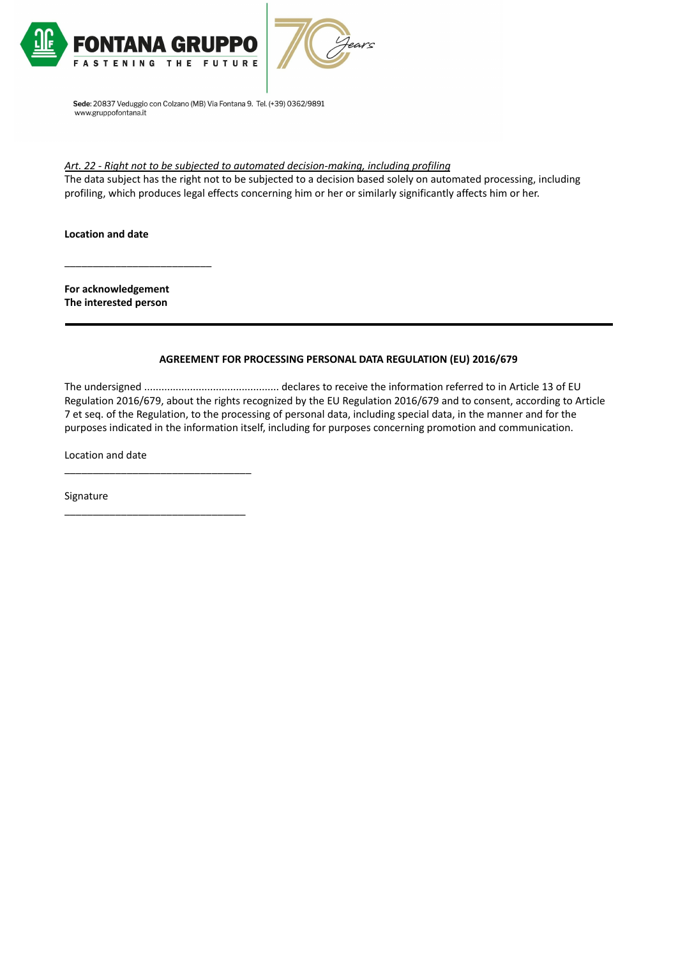



# *Art. 22 - Right not to be subjected to automated decision-making, including profiling*

The data subject has the right not to be subjected to a decision based solely on automated processing, including profiling, which produces legal effects concerning him or her or similarly significantly affects him or her.

**Location and date**

**For acknowledgement The interested person**

\_\_\_\_\_\_\_\_\_\_\_\_\_\_\_\_\_\_\_\_\_\_\_\_\_\_

#### **AGREEMENT FOR PROCESSING PERSONAL DATA REGULATION (EU) 2016/679**

The undersigned ............................................... declares to receive the information referred to in Article 13 of EU Regulation 2016/679, about the rights recognized by the EU Regulation 2016/679 and to consent, according to Article 7 et seq. of the Regulation, to the processing of personal data, including special data, in the manner and for the purposes indicated in the information itself, including for purposes concerning promotion and communication.

Location and date

\_\_\_\_\_\_\_\_\_\_\_\_\_\_\_\_\_\_\_\_\_\_\_\_\_\_\_\_\_\_\_\_\_

\_\_\_\_\_\_\_\_\_\_\_\_\_\_\_\_\_\_\_\_\_\_\_\_\_\_\_\_\_\_\_\_

Signature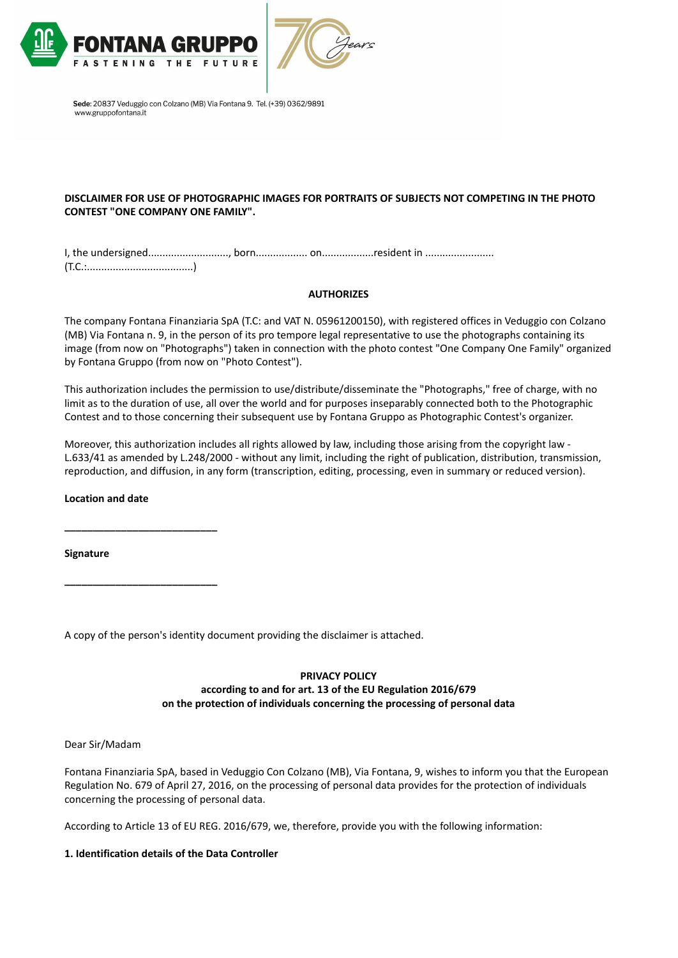



# **DISCLAIMER FOR USE OF PHOTOGRAPHIC IMAGES FOR PORTRAITS OF SUBJECTS NOT COMPETING IN THE PHOTO CONTEST "ONE COMPANY ONE FAMILY".**

I, the undersigned............................, born.................. on..................resident in ........................ (T.C.:.....................................)

# **AUTHORIZES**

The company Fontana Finanziaria SpA (T.C: and VAT N. 05961200150), with registered offices in Veduggio con Colzano (MB) Via Fontana n. 9, in the person of its pro tempore legal representative to use the photographs containing its image (from now on "Photographs") taken in connection with the photo contest "One Company One Family" organized by Fontana Gruppo (from now on "Photo Contest").

This authorization includes the permission to use/distribute/disseminate the "Photographs," free of charge, with no limit as to the duration of use, all over the world and for purposes inseparably connected both to the Photographic Contest and to those concerning their subsequent use by Fontana Gruppo as Photographic Contest's organizer.

Moreover, this authorization includes all rights allowed by law, including those arising from the copyright law -L.633/41 as amended by L.248/2000 - without any limit, including the right of publication, distribution, transmission, reproduction, and diffusion, in any form (transcription, editing, processing, even in summary or reduced version).

# **Location and date**

**\_\_\_\_\_\_\_\_\_\_\_\_\_\_\_\_\_\_\_\_\_\_\_\_\_\_\_**

**\_\_\_\_\_\_\_\_\_\_\_\_\_\_\_\_\_\_\_\_\_\_\_\_\_\_\_**

**Signature**

A copy of the person's identity document providing the disclaimer is attached.

# **PRIVACY POLICY according to and for art. 13 of the EU Regulation 2016/679 on the protection of individuals concerning the processing of personal data**

# Dear Sir/Madam

Fontana Finanziaria SpA, based in Veduggio Con Colzano (MB), Via Fontana, 9, wishes to inform you that the European Regulation No. 679 of April 27, 2016, on the processing of personal data provides for the protection of individuals concerning the processing of personal data.

According to Article 13 of EU REG. 2016/679, we, therefore, provide you with the following information:

# **1. Identification details of the Data Controller**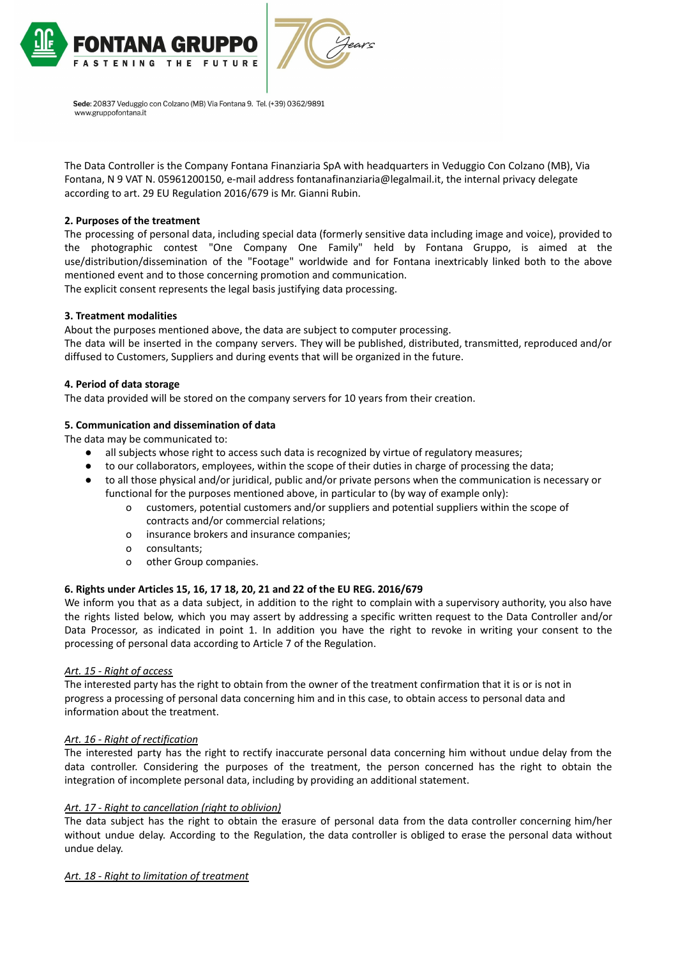



The Data Controller is the Company Fontana Finanziaria SpA with headquarters in Veduggio Con Colzano (MB), Via Fontana, N 9 VAT N. 05961200150, e-mail address fontanafinanziaria@legalmail.it, the internal privacy delegate according to art. 29 EU Regulation 2016/679 is Mr. Gianni Rubin.

# **2. Purposes of the treatment**

The processing of personal data, including special data (formerly sensitive data including image and voice), provided to the photographic contest "One Company One Family" held by Fontana Gruppo, is aimed at the use/distribution/dissemination of the "Footage" worldwide and for Fontana inextricably linked both to the above mentioned event and to those concerning promotion and communication.

The explicit consent represents the legal basis justifying data processing.

# **3. Treatment modalities**

About the purposes mentioned above, the data are subject to computer processing. The data will be inserted in the company servers. They will be published, distributed, transmitted, reproduced and/or diffused to Customers, Suppliers and during events that will be organized in the future.

#### **4. Period of data storage**

The data provided will be stored on the company servers for 10 years from their creation.

### **5. Communication and dissemination of data**

The data may be communicated to:

- all subjects whose right to access such data is recognized by virtue of regulatory measures;
- to our collaborators, employees, within the scope of their duties in charge of processing the data;
- to all those physical and/or juridical, public and/or private persons when the communication is necessary or functional for the purposes mentioned above, in particular to (by way of example only):
	- o customers, potential customers and/or suppliers and potential suppliers within the scope of contracts and/or commercial relations;
	- o insurance brokers and insurance companies;
	- o consultants;
	- o other Group companies.

# **6. Rights under Articles 15, 16, 17 18, 20, 21 and 22 of the EU REG. 2016/679**

We inform you that as a data subject, in addition to the right to complain with a supervisory authority, you also have the rights listed below, which you may assert by addressing a specific written request to the Data Controller and/or Data Processor, as indicated in point 1. In addition you have the right to revoke in writing your consent to the processing of personal data according to Article 7 of the Regulation.

#### *Art. 15 - Right of access*

The interested party has the right to obtain from the owner of the treatment confirmation that it is or is not in progress a processing of personal data concerning him and in this case, to obtain access to personal data and information about the treatment.

# *Art. 16 - Right of rectification*

The interested party has the right to rectify inaccurate personal data concerning him without undue delay from the data controller. Considering the purposes of the treatment, the person concerned has the right to obtain the integration of incomplete personal data, including by providing an additional statement.

# *Art. 17 - Right to cancellation (right to oblivion)*

The data subject has the right to obtain the erasure of personal data from the data controller concerning him/her without undue delay. According to the Regulation, the data controller is obliged to erase the personal data without undue delay.

#### *Art. 18 - Right to limitation of treatment*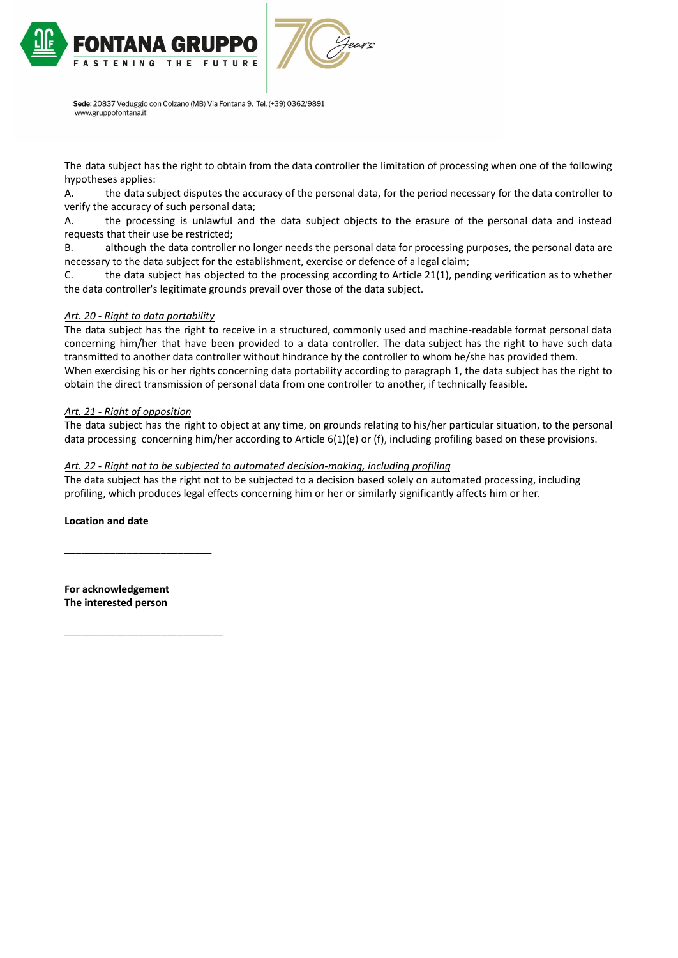

The data subject has the right to obtain from the data controller the limitation of processing when one of the following hypotheses applies:

A. the data subject disputes the accuracy of the personal data, for the period necessary for the data controller to verify the accuracy of such personal data;

A. the processing is unlawful and the data subject objects to the erasure of the personal data and instead requests that their use be restricted;

B. although the data controller no longer needs the personal data for processing purposes, the personal data are necessary to the data subject for the establishment, exercise or defence of a legal claim;

C. the data subject has objected to the processing according to Article 21(1), pending verification as to whether the data controller's legitimate grounds prevail over those of the data subject.

# *Art. 20 - Right to data portability*

The data subject has the right to receive in a structured, commonly used and machine-readable format personal data concerning him/her that have been provided to a data controller. The data subject has the right to have such data transmitted to another data controller without hindrance by the controller to whom he/she has provided them. When exercising his or her rights concerning data portability according to paragraph 1, the data subject has the right to obtain the direct transmission of personal data from one controller to another, if technically feasible.

# *Art. 21 - Right of opposition*

The data subject has the right to object at any time, on grounds relating to his/her particular situation, to the personal data processing concerning him/her according to Article 6(1)(e) or (f), including profiling based on these provisions.

# *Art. 22 - Right not to be subjected to automated decision-making, including profiling*

The data subject has the right not to be subjected to a decision based solely on automated processing, including profiling, which produces legal effects concerning him or her or similarly significantly affects him or her.

**Location and date**

**For acknowledgement The interested person**

\_\_\_\_\_\_\_\_\_\_\_\_\_\_\_\_\_\_\_\_\_\_\_\_\_\_

\_\_\_\_\_\_\_\_\_\_\_\_\_\_\_\_\_\_\_\_\_\_\_\_\_\_\_\_